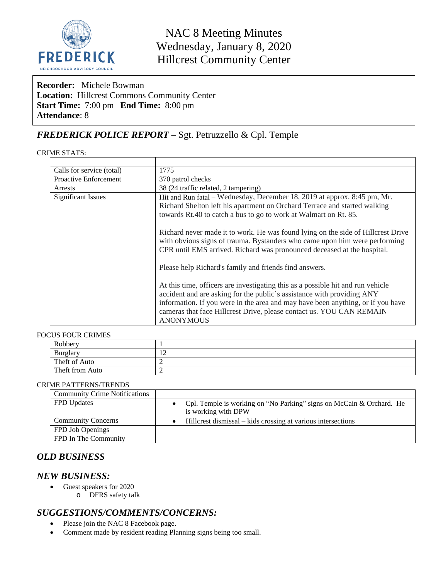

NAC 8 Meeting Minutes Wednesday, January 8, 2020 Hillcrest Community Center

**Recorder:** Michele Bowman **Location:** Hillcrest Commons Community Center **Start Time:** 7:00 pm **End Time:** 8:00 pm **Attendance**: 8

# *FREDERICK POLICE REPORT –* Sgt. Petruzzello & Cpl. Temple

#### CRIME STATS:

| Calls for service (total)    | 1775                                                                                                                                                                                                                                                                                                                                                                                        |  |
|------------------------------|---------------------------------------------------------------------------------------------------------------------------------------------------------------------------------------------------------------------------------------------------------------------------------------------------------------------------------------------------------------------------------------------|--|
| <b>Proactive Enforcement</b> | 370 patrol checks                                                                                                                                                                                                                                                                                                                                                                           |  |
| Arrests                      | 38 (24 traffic related, 2 tampering)                                                                                                                                                                                                                                                                                                                                                        |  |
| <b>Significant Issues</b>    | Hit and Run fatal – Wednesday, December 18, 2019 at approx. 8:45 pm, Mr.<br>Richard Shelton left his apartment on Orchard Terrace and started walking<br>towards Rt.40 to catch a bus to go to work at Walmart on Rt. 85.<br>Richard never made it to work. He was found lying on the side of Hillcrest Drive<br>with obvious signs of trauma. Bystanders who came upon him were performing |  |
|                              | CPR until EMS arrived. Richard was pronounced deceased at the hospital.<br>Please help Richard's family and friends find answers.                                                                                                                                                                                                                                                           |  |
|                              | At this time, officers are investigating this as a possible hit and run vehicle<br>accident and are asking for the public's assistance with providing ANY<br>information. If you were in the area and may have been anything, or if you have<br>cameras that face Hillcrest Drive, please contact us. YOU CAN REMAIN<br><b>ANONYMOUS</b>                                                    |  |

#### FOCUS FOUR CRIMES

| Robbery         |   |
|-----------------|---|
| Burglary        | ∸ |
| Theft of Auto   |   |
| Theft from Auto |   |

#### CRIME PATTERNS/TRENDS

| <b>Community Crime Notifications</b> |                                                                        |
|--------------------------------------|------------------------------------------------------------------------|
| <b>FPD</b> Updates                   | • Cpl. Temple is working on "No Parking" signs on McCain & Orchard. He |
|                                      | is working with DPW                                                    |
| <b>Community Concerns</b>            | Hillcrest dismissal – kids crossing at various intersections           |
| FPD Job Openings                     |                                                                        |
| FPD In The Community                 |                                                                        |

## *OLD BUSINESS*

#### *NEW BUSINESS:*

- Guest speakers for 2020
	- o DFRS safety talk

### *SUGGESTIONS/COMMENTS/CONCERNS:*

- Please join the NAC 8 Facebook page.
- Comment made by resident reading Planning signs being too small.